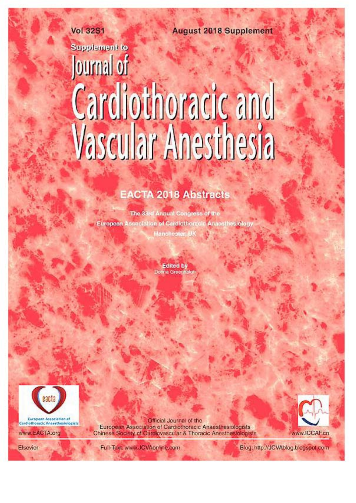**August 2018 Supplement** 

# **Vol 32S1 Supplement to** Journal of Cardiothoracic and<br>Vascular Anesthesia

## **EACTA 2018 Abstracts**

The 33rd Annual Congress of the European Association of Cardiethoracic Anaesthestelogy Manchester, UK

> **Edited by** Donna Greenhalgh



www.EACTA.org

Official Journal of the European Association of Cardiothoracic Anaesthesiologists Chinese Society of Cardiovascular & Thoracic Anesthesiologists



Elsevier

Fu'l-Text: www.JCVAonline.com

Blog: http://JCVAblog.blogspot.com